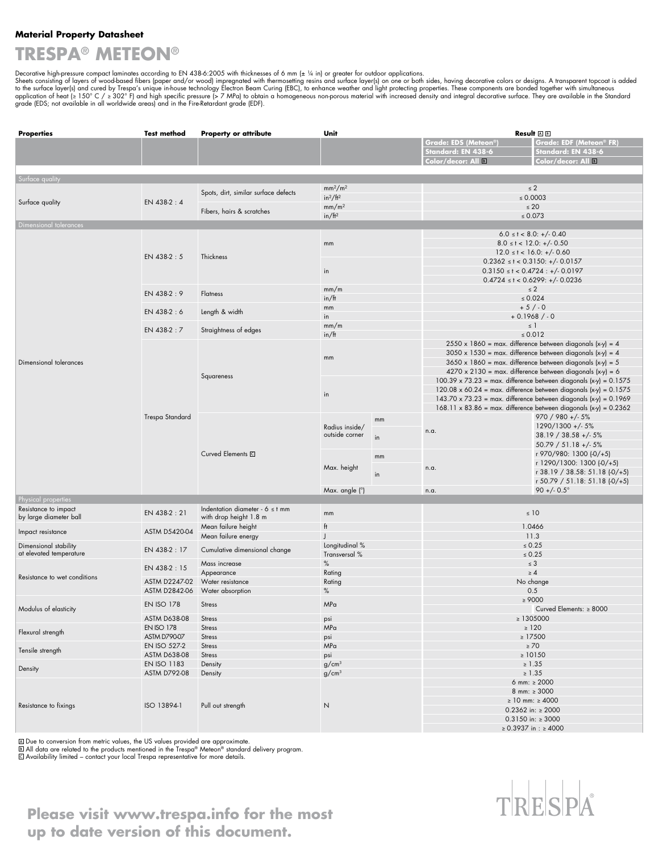#### **Material Property Datasheet**

## **TRESPA® METEON®**

Decorative high-pressure compact laminates according to EN 438-6:2005 with thicknesses of 6 mm (± ¼ in) or greater for outdoor applications.<br>Sheets consisting of layers of wood-based fibers (paper and/or wood) impregnated

| <b>Properties</b>                              | <b>Test method</b>                       | <b>Property or attribute</b>                                                           | Unit                                                                                                                                                                                                                                   |                                  | Result AB                                                                                                                                                                                                  |                                                             |                                                                  |
|------------------------------------------------|------------------------------------------|----------------------------------------------------------------------------------------|----------------------------------------------------------------------------------------------------------------------------------------------------------------------------------------------------------------------------------------|----------------------------------|------------------------------------------------------------------------------------------------------------------------------------------------------------------------------------------------------------|-------------------------------------------------------------|------------------------------------------------------------------|
|                                                |                                          |                                                                                        |                                                                                                                                                                                                                                        |                                  | <b>Grade: EDS (Meteon®)</b>                                                                                                                                                                                | Grade: EDF (Meteon® FR)                                     |                                                                  |
|                                                |                                          |                                                                                        |                                                                                                                                                                                                                                        |                                  | Standard: EN 438-6<br>Color/decor: All $\Box$                                                                                                                                                              | Standard: EN 438-6<br>Color/decor: All B                    |                                                                  |
|                                                |                                          |                                                                                        |                                                                                                                                                                                                                                        |                                  |                                                                                                                                                                                                            |                                                             |                                                                  |
| Surface quality                                |                                          |                                                                                        |                                                                                                                                                                                                                                        |                                  |                                                                                                                                                                                                            |                                                             |                                                                  |
| Surface quality                                | EN 438-2:4                               | mm <sup>2</sup> /m <sup>2</sup><br>Spots, dirt, similar surface defects<br>$in^2/ft^2$ |                                                                                                                                                                                                                                        | $\leq 0.0003$                    | $\leq 2$                                                                                                                                                                                                   |                                                             |                                                                  |
|                                                |                                          |                                                                                        | mm/m <sup>2</sup>                                                                                                                                                                                                                      |                                  | $\leq 20$                                                                                                                                                                                                  |                                                             |                                                                  |
|                                                |                                          |                                                                                        | Fibers, hairs & scratches<br>in/ft <sup>2</sup>                                                                                                                                                                                        |                                  | $\leq 0.073$                                                                                                                                                                                               |                                                             |                                                                  |
| Dimensional tolerances                         |                                          |                                                                                        |                                                                                                                                                                                                                                        |                                  | $6.0 \le t < 8.0: +/- 0.40$                                                                                                                                                                                |                                                             |                                                                  |
|                                                | EN 438-2:5                               | Thickness                                                                              | mm                                                                                                                                                                                                                                     |                                  | $8.0 \le t < 12.0: +/-0.50$                                                                                                                                                                                |                                                             |                                                                  |
|                                                |                                          |                                                                                        |                                                                                                                                                                                                                                        |                                  | $12.0 \le t < 16.0: +/-0.60$                                                                                                                                                                               |                                                             |                                                                  |
|                                                |                                          |                                                                                        |                                                                                                                                                                                                                                        |                                  | $0.2362 \le t < 0.3150$ : +/- 0.0157<br>$0.3150 \le t < 0.4724 : +/- 0.0197$                                                                                                                               |                                                             |                                                                  |
|                                                |                                          |                                                                                        | in                                                                                                                                                                                                                                     |                                  | $0.4724 \le t < 0.6299$ : +/- 0.0236                                                                                                                                                                       |                                                             |                                                                  |
|                                                | EN 438-2:9                               | <b>Flatness</b>                                                                        | mm/m                                                                                                                                                                                                                                   |                                  | $\leq 2$                                                                                                                                                                                                   |                                                             |                                                                  |
|                                                |                                          |                                                                                        | in/ft                                                                                                                                                                                                                                  |                                  | $\leq 0.024$                                                                                                                                                                                               |                                                             |                                                                  |
|                                                | EN 438-2:6                               | Length & width                                                                         | mm<br>in                                                                                                                                                                                                                               |                                  | $+5/0$<br>$+0.1968/0$                                                                                                                                                                                      |                                                             |                                                                  |
|                                                | EN 438-2:7                               |                                                                                        | mm/m                                                                                                                                                                                                                                   |                                  | $\leq$ 1                                                                                                                                                                                                   |                                                             |                                                                  |
|                                                |                                          | Straightness of edges                                                                  | in/ft                                                                                                                                                                                                                                  |                                  | $\le 0.012$                                                                                                                                                                                                |                                                             |                                                                  |
| Dimensional tolerances                         | Trespa Standard                          | Squareness                                                                             | mm                                                                                                                                                                                                                                     |                                  | $2550 \times 1860$ = max. difference between diagonals (x-y) = 4<br>$3050 \times 1530$ = max. difference between diagonals (x-y) = 4<br>$3650 \times 1860$ = max. difference between diagonals $(x-y) = 5$ |                                                             |                                                                  |
|                                                |                                          |                                                                                        |                                                                                                                                                                                                                                        |                                  |                                                                                                                                                                                                            |                                                             | $4270 \times 2130$ = max. difference between diagonals (x-y) = 6 |
|                                                |                                          |                                                                                        |                                                                                                                                                                                                                                        |                                  |                                                                                                                                                                                                            | in                                                          |                                                                  |
|                                                |                                          |                                                                                        | $120.08 \times 60.24$ = max. difference between diagonals $(x-y) = 0.1575$<br>$143.70 \times 73.23$ = max. difference between diagonals $(x-y)$ = 0.1969<br>$168.11 \times 83.86$ = max. difference between diagonals $(x-y) = 0.2362$ |                                  |                                                                                                                                                                                                            |                                                             |                                                                  |
|                                                |                                          |                                                                                        |                                                                                                                                                                                                                                        |                                  |                                                                                                                                                                                                            |                                                             |                                                                  |
|                                                |                                          |                                                                                        |                                                                                                                                                                                                                                        | Radius inside/<br>outside corner | mm                                                                                                                                                                                                         |                                                             | 970 / 980 +/- 5%                                                 |
|                                                |                                          |                                                                                        |                                                                                                                                                                                                                                        |                                  | n.a.                                                                                                                                                                                                       | 1290/1300 +/- 5%<br>$38.19 / 38.58 + (-5%)$                 |                                                                  |
|                                                |                                          |                                                                                        | in                                                                                                                                                                                                                                     |                                  |                                                                                                                                                                                                            | $50.79 / 51.18 + (-5%)$                                     |                                                                  |
|                                                |                                          | Curved Elements C                                                                      | mm<br>Max. height<br>in                                                                                                                                                                                                                |                                  |                                                                                                                                                                                                            | r 970/980: 1300 (-0/+5)                                     |                                                                  |
|                                                |                                          |                                                                                        |                                                                                                                                                                                                                                        |                                  | n.a.                                                                                                                                                                                                       | r 1290/1300: 1300 (-0/+5)<br>r 38.19 / 38.58: 51.18 (-0/+5) |                                                                  |
|                                                |                                          |                                                                                        |                                                                                                                                                                                                                                        |                                  |                                                                                                                                                                                                            | $r$ 50.79 / 51.18: 51.18 $(-0/+5)$                          |                                                                  |
|                                                |                                          |                                                                                        |                                                                                                                                                                                                                                        | Max. angle (°)                   |                                                                                                                                                                                                            | n.a.                                                        | $90 + (-0.5^\circ)$                                              |
| Physical properties                            |                                          |                                                                                        |                                                                                                                                                                                                                                        |                                  |                                                                                                                                                                                                            |                                                             |                                                                  |
| Resistance to impact<br>by large diameter ball | EN 438-2:21                              | Indentation diameter - $6 \leq t$ mm<br>with drop height 1.8 m                         | mm                                                                                                                                                                                                                                     |                                  | $\leq 10$                                                                                                                                                                                                  |                                                             |                                                                  |
| Impact resistance                              | ASTM D5420-04                            | Mean failure height<br>Mean failure energy                                             | ft                                                                                                                                                                                                                                     |                                  | 1.0466<br>11.3                                                                                                                                                                                             |                                                             |                                                                  |
| Dimensional stability                          | EN 438-2:17                              |                                                                                        | Longitudinal %                                                                                                                                                                                                                         |                                  | $\leq 0.25$                                                                                                                                                                                                |                                                             |                                                                  |
| at elevated temperature                        |                                          | Cumulative dimensional change                                                          | Transversal %                                                                                                                                                                                                                          |                                  |                                                                                                                                                                                                            | $\leq 0.25$                                                 |                                                                  |
| Resistance to wet conditions                   | EN 438-2:15                              | Mass increase<br>Appearance                                                            | $\%$<br>Rating                                                                                                                                                                                                                         |                                  | $\leq 3$<br>$\geq 4$                                                                                                                                                                                       |                                                             |                                                                  |
|                                                | ASTM D2247-02                            | Water resistance                                                                       | Rating                                                                                                                                                                                                                                 |                                  | No change                                                                                                                                                                                                  |                                                             |                                                                  |
|                                                | ASTM D2842-06                            | Water absorption                                                                       | $\%$                                                                                                                                                                                                                                   |                                  | 0.5                                                                                                                                                                                                        |                                                             |                                                                  |
| Modulus of elasticity                          | <b>EN ISO 178</b>                        | <b>Stress</b>                                                                          | <b>MPa</b>                                                                                                                                                                                                                             |                                  | $\geq 9000$<br>Curved Elements: $\geq 8000$                                                                                                                                                                |                                                             |                                                                  |
|                                                | ASTM D638-08                             | Stress                                                                                 | psi                                                                                                                                                                                                                                    |                                  | $\geq 1305000$                                                                                                                                                                                             |                                                             |                                                                  |
| Flexural strength                              | <b>EN ISO 178</b><br><b>ASTM D790-07</b> | <b>Stress</b><br><b>Stress</b>                                                         | MPa<br>psi                                                                                                                                                                                                                             |                                  | $\geq 120$<br>$\geq$ 17500                                                                                                                                                                                 |                                                             |                                                                  |
| Tensile strength                               | EN ISO 527-2                             | <b>Stress</b>                                                                          | MPa                                                                                                                                                                                                                                    |                                  | $\geq 70$                                                                                                                                                                                                  |                                                             |                                                                  |
|                                                | ASTM D638-08                             | <b>Stress</b>                                                                          | psi                                                                                                                                                                                                                                    |                                  | $\geq 10150$                                                                                                                                                                                               |                                                             |                                                                  |
| Density                                        | EN ISO 1183<br><b>ASTM D792-08</b>       | Density<br>Density                                                                     | g/cm <sup>3</sup><br>g/cm <sup>3</sup>                                                                                                                                                                                                 |                                  | $\geq 1.35$<br>$\geq 1.35$                                                                                                                                                                                 |                                                             |                                                                  |
| Resistance to fixings                          | ISO 13894-1                              |                                                                                        |                                                                                                                                                                                                                                        |                                  | 6 mm: $\geq 2000$                                                                                                                                                                                          |                                                             |                                                                  |
|                                                |                                          | Pull out strength                                                                      | $\hbox{N}$                                                                                                                                                                                                                             |                                  | 8 mm: $\geq 3000$                                                                                                                                                                                          |                                                             |                                                                  |
|                                                |                                          |                                                                                        |                                                                                                                                                                                                                                        |                                  | ≥ 10 mm: ≥ 4000<br>$0.2362$ in: $\geq 2000$                                                                                                                                                                |                                                             |                                                                  |
|                                                |                                          |                                                                                        |                                                                                                                                                                                                                                        |                                  | $0.3150$ in: $\geq 3000$                                                                                                                                                                                   |                                                             |                                                                  |
|                                                |                                          |                                                                                        |                                                                                                                                                                                                                                        |                                  | ≥ 0.3937 in : ≥ 4000                                                                                                                                                                                       |                                                             |                                                                  |

l Due to conversion from metric values, the US values provided are approximate.<br>|All data are related to the products mentioned in the Trespa® Meteon® standard delivery program.<br>|Availability limited – contact your local T



**Please visit www.trespa.info for the most up to date version of this document.**